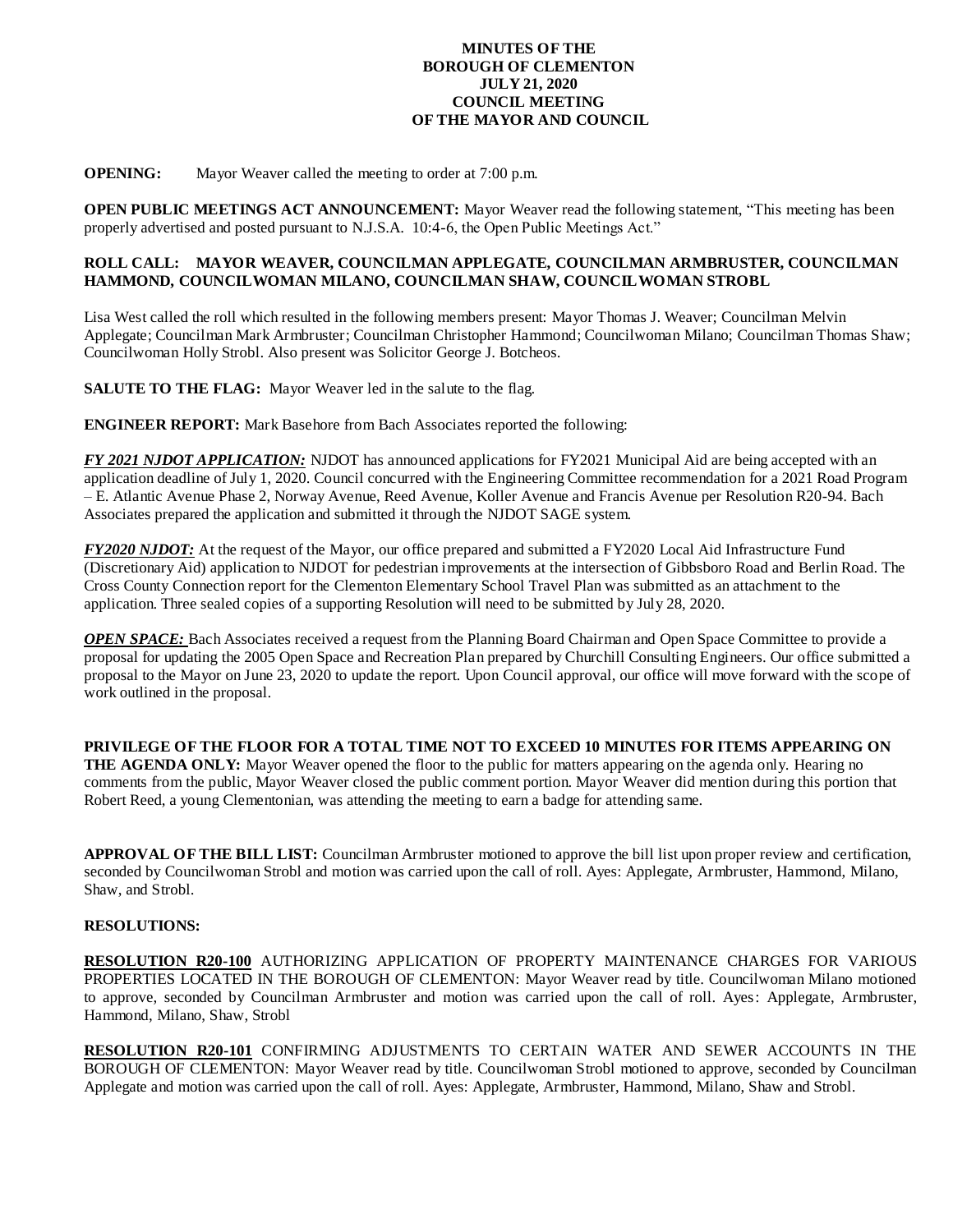## **MINUTES OF THE BOROUGH OF CLEMENTON JULY 21, 2020 COUNCIL MEETING OF THE MAYOR AND COUNCIL**

**OPENING:** Mayor Weaver called the meeting to order at 7:00 p.m.

**OPEN PUBLIC MEETINGS ACT ANNOUNCEMENT:** Mayor Weaver read the following statement, "This meeting has been properly advertised and posted pursuant to N.J.S.A. 10:4-6, the Open Public Meetings Act."

## **ROLL CALL: MAYOR WEAVER, COUNCILMAN APPLEGATE, COUNCILMAN ARMBRUSTER, COUNCILMAN HAMMOND, COUNCILWOMAN MILANO, COUNCILMAN SHAW, COUNCILWOMAN STROBL**

Lisa West called the roll which resulted in the following members present: Mayor Thomas J. Weaver; Councilman Melvin Applegate; Councilman Mark Armbruster; Councilman Christopher Hammond; Councilwoman Milano; Councilman Thomas Shaw; Councilwoman Holly Strobl. Also present was Solicitor George J. Botcheos.

**SALUTE TO THE FLAG:** Mayor Weaver led in the salute to the flag.

**ENGINEER REPORT:** Mark Basehore from Bach Associates reported the following:

*FY 2021 NJDOT APPLICATION:* NJDOT has announced applications for FY2021 Municipal Aid are being accepted with an application deadline of July 1, 2020. Council concurred with the Engineering Committee recommendation for a 2021 Road Program – E. Atlantic Avenue Phase 2, Norway Avenue, Reed Avenue, Koller Avenue and Francis Avenue per Resolution R20-94. Bach Associates prepared the application and submitted it through the NJDOT SAGE system.

*FY2020 NJDOT:* At the request of the Mayor, our office prepared and submitted a FY2020 Local Aid Infrastructure Fund (Discretionary Aid) application to NJDOT for pedestrian improvements at the intersection of Gibbsboro Road and Berlin Road. The Cross County Connection report for the Clementon Elementary School Travel Plan was submitted as an attachment to the application. Three sealed copies of a supporting Resolution will need to be submitted by July 28, 2020.

*OPEN SPACE:* Bach Associates received a request from the Planning Board Chairman and Open Space Committee to provide a proposal for updating the 2005 Open Space and Recreation Plan prepared by Churchill Consulting Engineers. Our office submitted a proposal to the Mayor on June 23, 2020 to update the report. Upon Council approval, our office will move forward with the scope of work outlined in the proposal.

**PRIVILEGE OF THE FLOOR FOR A TOTAL TIME NOT TO EXCEED 10 MINUTES FOR ITEMS APPEARING ON THE AGENDA ONLY:** Mayor Weaver opened the floor to the public for matters appearing on the agenda only. Hearing no comments from the public, Mayor Weaver closed the public comment portion. Mayor Weaver did mention during this portion that Robert Reed, a young Clementonian, was attending the meeting to earn a badge for attending same.

**APPROVAL OF THE BILL LIST:** Councilman Armbruster motioned to approve the bill list upon proper review and certification, seconded by Councilwoman Strobl and motion was carried upon the call of roll. Ayes: Applegate, Armbruster, Hammond, Milano, Shaw, and Strobl.

## **RESOLUTIONS:**

**RESOLUTION R20-100** AUTHORIZING APPLICATION OF PROPERTY MAINTENANCE CHARGES FOR VARIOUS PROPERTIES LOCATED IN THE BOROUGH OF CLEMENTON: Mayor Weaver read by title. Councilwoman Milano motioned to approve, seconded by Councilman Armbruster and motion was carried upon the call of roll. Ayes: Applegate, Armbruster, Hammond, Milano, Shaw, Strobl

**RESOLUTION R20-101** CONFIRMING ADJUSTMENTS TO CERTAIN WATER AND SEWER ACCOUNTS IN THE BOROUGH OF CLEMENTON: Mayor Weaver read by title. Councilwoman Strobl motioned to approve, seconded by Councilman Applegate and motion was carried upon the call of roll. Ayes: Applegate, Armbruster, Hammond, Milano, Shaw and Strobl.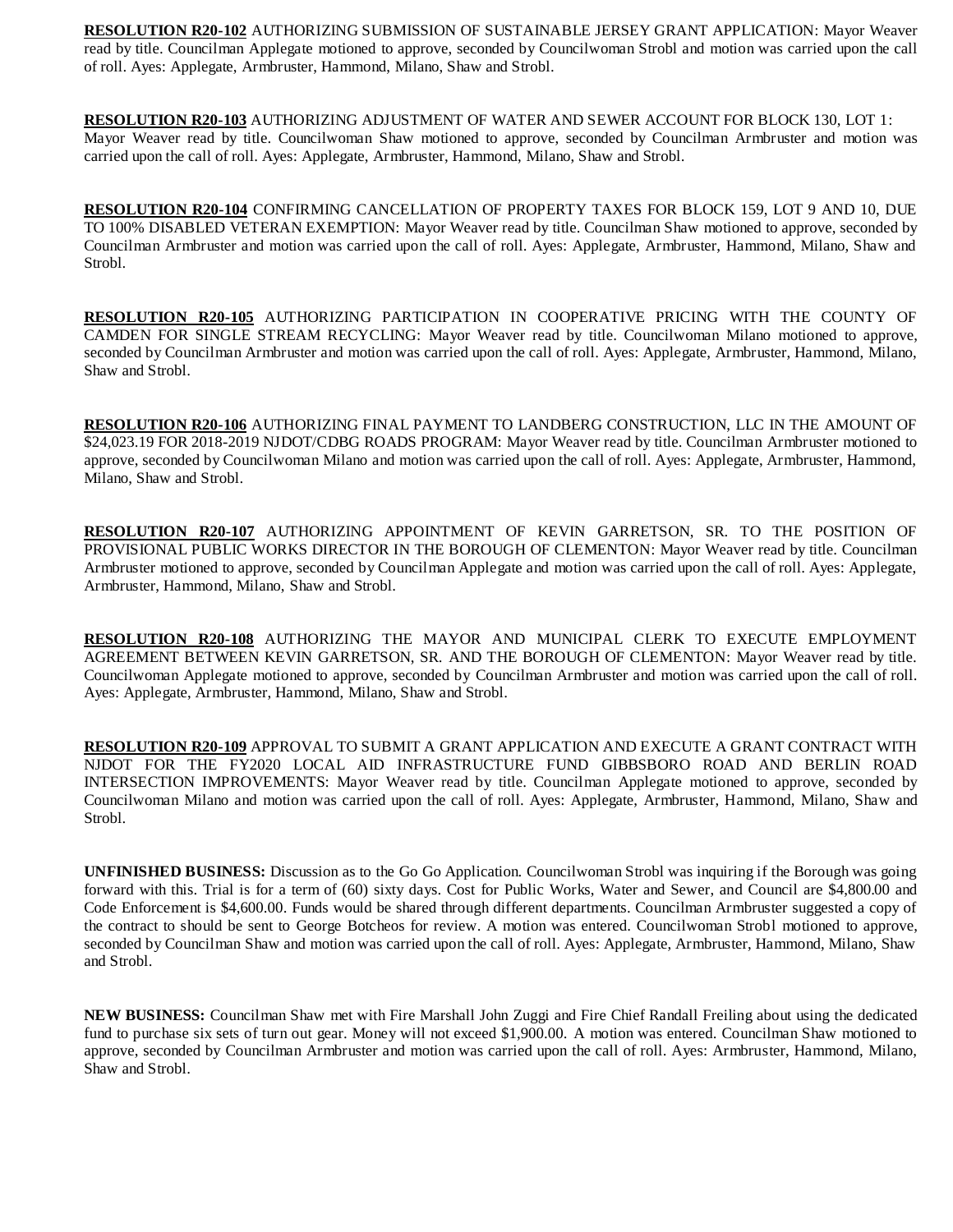**RESOLUTION R20-102** AUTHORIZING SUBMISSION OF SUSTAINABLE JERSEY GRANT APPLICATION: Mayor Weaver read by title. Councilman Applegate motioned to approve, seconded by Councilwoman Strobl and motion was carried upon the call of roll. Ayes: Applegate, Armbruster, Hammond, Milano, Shaw and Strobl.

**RESOLUTION R20-103** AUTHORIZING ADJUSTMENT OF WATER AND SEWER ACCOUNT FOR BLOCK 130, LOT 1: Mayor Weaver read by title. Councilwoman Shaw motioned to approve, seconded by Councilman Armbruster and motion was carried upon the call of roll. Ayes: Applegate, Armbruster, Hammond, Milano, Shaw and Strobl.

**RESOLUTION R20-104** CONFIRMING CANCELLATION OF PROPERTY TAXES FOR BLOCK 159, LOT 9 AND 10, DUE TO 100% DISABLED VETERAN EXEMPTION: Mayor Weaver read by title. Councilman Shaw motioned to approve, seconded by Councilman Armbruster and motion was carried upon the call of roll. Ayes: Applegate, Armbruster, Hammond, Milano, Shaw and Strobl.

**RESOLUTION R20-105** AUTHORIZING PARTICIPATION IN COOPERATIVE PRICING WITH THE COUNTY OF CAMDEN FOR SINGLE STREAM RECYCLING: Mayor Weaver read by title. Councilwoman Milano motioned to approve, seconded by Councilman Armbruster and motion was carried upon the call of roll. Ayes: Applegate, Armbruster, Hammond, Milano, Shaw and Strobl.

**RESOLUTION R20-106** AUTHORIZING FINAL PAYMENT TO LANDBERG CONSTRUCTION, LLC IN THE AMOUNT OF \$24,023.19 FOR 2018-2019 NJDOT/CDBG ROADS PROGRAM: Mayor Weaver read by title. Councilman Armbruster motioned to approve, seconded by Councilwoman Milano and motion was carried upon the call of roll. Ayes: Applegate, Armbruster, Hammond, Milano, Shaw and Strobl.

**RESOLUTION R20-107** AUTHORIZING APPOINTMENT OF KEVIN GARRETSON, SR. TO THE POSITION OF PROVISIONAL PUBLIC WORKS DIRECTOR IN THE BOROUGH OF CLEMENTON: Mayor Weaver read by title. Councilman Armbruster motioned to approve, seconded by Councilman Applegate and motion was carried upon the call of roll. Ayes: Applegate, Armbruster, Hammond, Milano, Shaw and Strobl.

**RESOLUTION R20-108** AUTHORIZING THE MAYOR AND MUNICIPAL CLERK TO EXECUTE EMPLOYMENT AGREEMENT BETWEEN KEVIN GARRETSON, SR. AND THE BOROUGH OF CLEMENTON: Mayor Weaver read by title. Councilwoman Applegate motioned to approve, seconded by Councilman Armbruster and motion was carried upon the call of roll. Ayes: Applegate, Armbruster, Hammond, Milano, Shaw and Strobl.

**RESOLUTION R20-109** APPROVAL TO SUBMIT A GRANT APPLICATION AND EXECUTE A GRANT CONTRACT WITH NJDOT FOR THE FY2020 LOCAL AID INFRASTRUCTURE FUND GIBBSBORO ROAD AND BERLIN ROAD INTERSECTION IMPROVEMENTS: Mayor Weaver read by title. Councilman Applegate motioned to approve, seconded by Councilwoman Milano and motion was carried upon the call of roll. Ayes: Applegate, Armbruster, Hammond, Milano, Shaw and Strobl.

**UNFINISHED BUSINESS:** Discussion as to the Go Go Application. Councilwoman Strobl was inquiring if the Borough was going forward with this. Trial is for a term of (60) sixty days. Cost for Public Works, Water and Sewer, and Council are \$4,800.00 and Code Enforcement is \$4,600.00. Funds would be shared through different departments. Councilman Armbruster suggested a copy of the contract to should be sent to George Botcheos for review. A motion was entered. Councilwoman Strobl motioned to approve, seconded by Councilman Shaw and motion was carried upon the call of roll. Ayes: Applegate, Armbruster, Hammond, Milano, Shaw and Strobl.

**NEW BUSINESS:** Councilman Shaw met with Fire Marshall John Zuggi and Fire Chief Randall Freiling about using the dedicated fund to purchase six sets of turn out gear. Money will not exceed \$1,900.00. A motion was entered. Councilman Shaw motioned to approve, seconded by Councilman Armbruster and motion was carried upon the call of roll. Ayes: Armbruster, Hammond, Milano, Shaw and Strobl.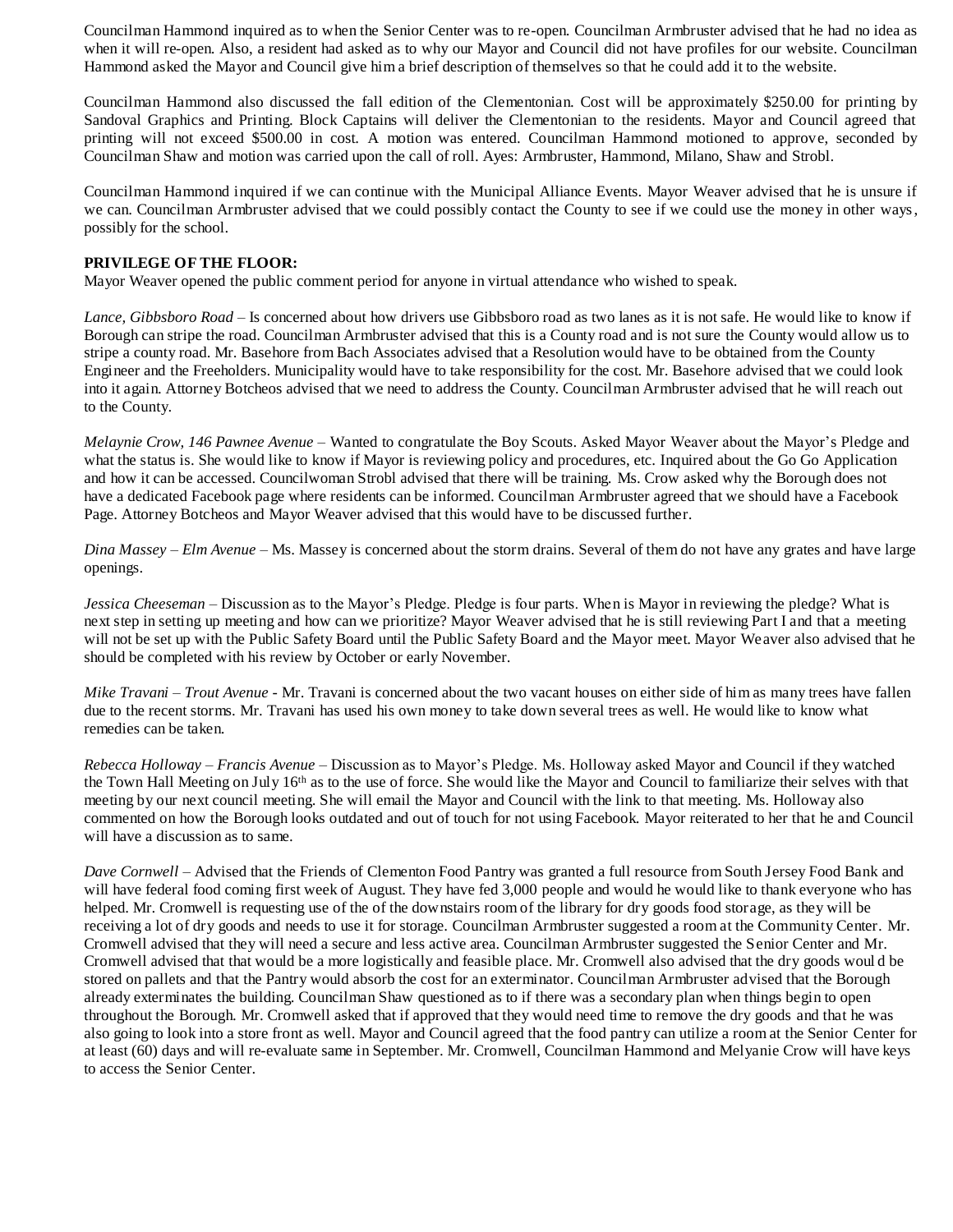Councilman Hammond inquired as to when the Senior Center was to re-open. Councilman Armbruster advised that he had no idea as when it will re-open. Also, a resident had asked as to why our Mayor and Council did not have profiles for our website. Councilman Hammond asked the Mayor and Council give him a brief description of themselves so that he could add it to the website.

Councilman Hammond also discussed the fall edition of the Clementonian. Cost will be approximately \$250.00 for printing by Sandoval Graphics and Printing. Block Captains will deliver the Clementonian to the residents. Mayor and Council agreed that printing will not exceed \$500.00 in cost. A motion was entered. Councilman Hammond motioned to approve, seconded by Councilman Shaw and motion was carried upon the call of roll. Ayes: Armbruster, Hammond, Milano, Shaw and Strobl.

Councilman Hammond inquired if we can continue with the Municipal Alliance Events. Mayor Weaver advised that he is unsure if we can. Councilman Armbruster advised that we could possibly contact the County to see if we could use the money in other ways, possibly for the school.

## **PRIVILEGE OF THE FLOOR:**

Mayor Weaver opened the public comment period for anyone in virtual attendance who wished to speak.

*Lance, Gibbsboro Road* – Is concerned about how drivers use Gibbsboro road as two lanes as it is not safe. He would like to know if Borough can stripe the road. Councilman Armbruster advised that this is a County road and is not sure the County would allow us to stripe a county road. Mr. Basehore from Bach Associates advised that a Resolution would have to be obtained from the County Engineer and the Freeholders. Municipality would have to take responsibility for the cost. Mr. Basehore advised that we could look into it again. Attorney Botcheos advised that we need to address the County. Councilman Armbruster advised that he will reach out to the County.

*Melaynie Crow, 146 Pawnee Avenue* – Wanted to congratulate the Boy Scouts. Asked Mayor Weaver about the Mayor's Pledge and what the status is. She would like to know if Mayor is reviewing policy and procedures, etc. Inquired about the Go Go Application and how it can be accessed. Councilwoman Strobl advised that there will be training. Ms. Crow asked why the Borough does not have a dedicated Facebook page where residents can be informed. Councilman Armbruster agreed that we should have a Facebook Page. Attorney Botcheos and Mayor Weaver advised that this would have to be discussed further.

*Dina Massey – Elm Avenue* – Ms. Massey is concerned about the storm drains. Several of them do not have any grates and have large openings.

*Jessica Cheeseman* – Discussion as to the Mayor's Pledge. Pledge is four parts. When is Mayor in reviewing the pledge? What is next step in setting up meeting and how can we prioritize? Mayor Weaver advised that he is still reviewing Part I and that a meeting will not be set up with the Public Safety Board until the Public Safety Board and the Mayor meet. Mayor Weaver also advised that he should be completed with his review by October or early November.

*Mike Travani – Trout Avenue* - Mr. Travani is concerned about the two vacant houses on either side of him as many trees have fallen due to the recent storms. Mr. Travani has used his own money to take down several trees as well. He would like to know what remedies can be taken.

*Rebecca Holloway – Francis Avenue –* Discussion as to Mayor's Pledge. Ms. Holloway asked Mayor and Council if they watched the Town Hall Meeting on July 16<sup>th</sup> as to the use of force. She would like the Mayor and Council to familiarize their selves with that meeting by our next council meeting. She will email the Mayor and Council with the link to that meeting. Ms. Holloway also commented on how the Borough looks outdated and out of touch for not using Facebook. Mayor reiterated to her that he and Council will have a discussion as to same.

*Dave Cornwell* – Advised that the Friends of Clementon Food Pantry was granted a full resource from South Jersey Food Bank and will have federal food coming first week of August. They have fed 3,000 people and would he would like to thank everyone who has helped. Mr. Cromwell is requesting use of the of the downstairs room of the library for dry goods food storage, as they will be receiving a lot of dry goods and needs to use it for storage. Councilman Armbruster suggested a room at the Community Center. Mr. Cromwell advised that they will need a secure and less active area. Councilman Armbruster suggested the Senior Center and Mr. Cromwell advised that that would be a more logistically and feasible place. Mr. Cromwell also advised that the dry goods woul d be stored on pallets and that the Pantry would absorb the cost for an exterminator. Councilman Armbruster advised that the Borough already exterminates the building. Councilman Shaw questioned as to if there was a secondary plan when things begin to open throughout the Borough. Mr. Cromwell asked that if approved that they would need time to remove the dry goods and that he was also going to look into a store front as well. Mayor and Council agreed that the food pantry can utilize a room at the Senior Center for at least (60) days and will re-evaluate same in September. Mr. Cromwell, Councilman Hammond and Melyanie Crow will have keys to access the Senior Center.